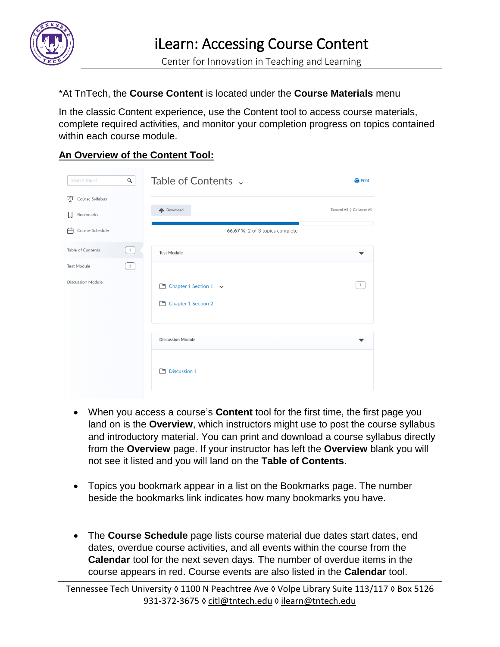

## \*At TnTech, the **Course Content** is located under the **Course Materials** menu

In the classic Content experience, use the Content tool to access course materials, complete required activities, and monitor your completion progress on topics contained within each course module.

## **An Overview of the Content Tool:**

| Search Topics                     | Q                                               | Table of Contents v            | <b>Print</b>              |
|-----------------------------------|-------------------------------------------------|--------------------------------|---------------------------|
| Course Syllabus<br>宴<br>Bookmarks |                                                 | <b>Download</b>                | Expand All   Collapse All |
| 户<br>Course Schedule              |                                                 | 66.67 % 2 of 3 topics complete |                           |
| Table of Contents                 | $\begin{bmatrix} 1 \end{bmatrix}$               | <b>Test Module</b>             |                           |
| Test Module                       | $\left( \begin{array}{c} 1 \end{array} \right)$ |                                |                           |
| <b>Discussion Module</b>          |                                                 | Chapter 1 Section 1 v          | $\overline{1}$            |
|                                   |                                                 | Chapter 1 Section 2            |                           |
|                                   |                                                 | <b>Discussion Module</b>       | ▼                         |
|                                   |                                                 | 门 Discussion 1                 |                           |
|                                   |                                                 |                                |                           |

- When you access a course's **Content** tool for the first time, the first page you land on is the **Overview**, which instructors might use to post the course syllabus and introductory material. You can print and download a course syllabus directly from the **Overview** page. If your instructor has left the **Overview** blank you will not see it listed and you will land on the **Table of Contents**.
- Topics you bookmark appear in a list on the Bookmarks page. The number beside the bookmarks link indicates how many bookmarks you have.
- The **Course Schedule** page lists course material due dates start dates, end dates, overdue course activities, and all events within the course from the **Calendar** tool for the next seven days. The number of overdue items in the course appears in red. Course events are also listed in the **Calendar** tool.